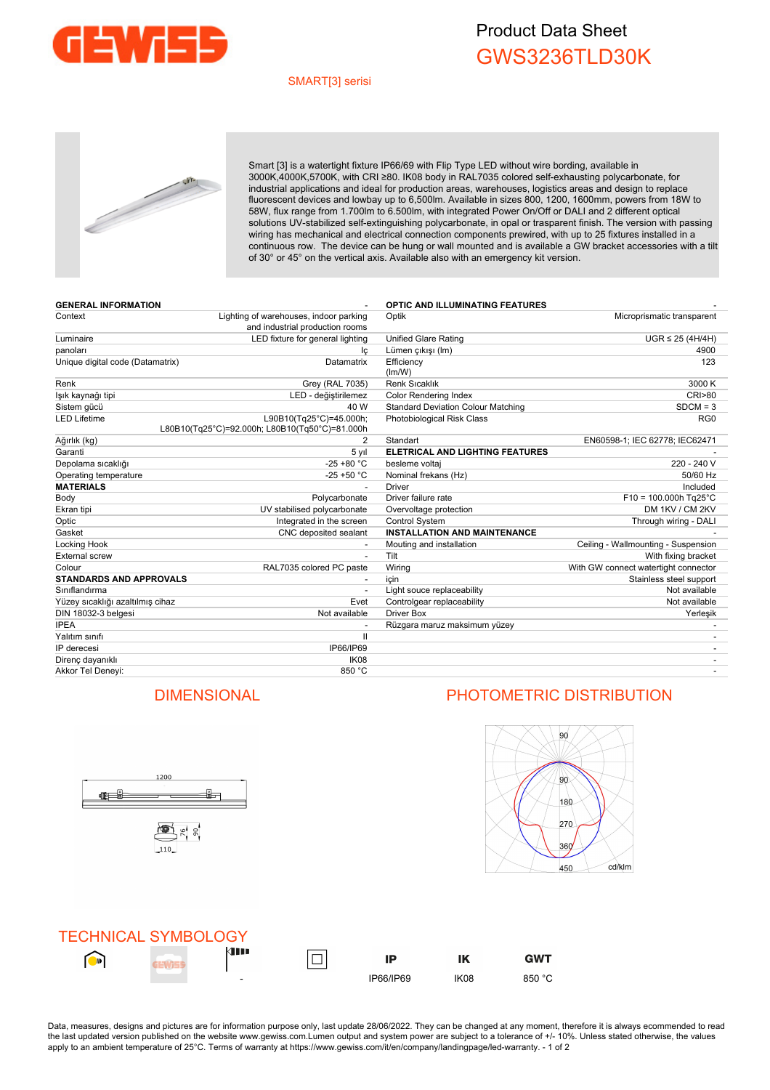

## Product Data Sheet GWS3236TLD30K

### SMART[3] serisi



Smart [3] is a watertight fixture IP66/69 with Flip Type LED without wire bording, available in 3000K,4000K,5700K, with CRI ≥80. IK08 body in RAL7035 colored self-exhausting polycarbonate, for industrial applications and ideal for production areas, warehouses, logistics areas and design to replace fluorescent devices and lowbay up to 6,500lm. Available in sizes 800, 1200, 1600mm, powers from 18W to 58W, flux range from 1.700lm to 6.500lm, with integrated Power On/Off or DALI and 2 different optical solutions UV-stabilized self-extinguishing polycarbonate, in opal or trasparent finish. The version with passing wiring has mechanical and electrical connection components prewired, with up to 25 fixtures installed in a continuous row. The device can be hung or wall mounted and is available a GW bracket accessories with a tilt of 30° or 45° on the vertical axis. Available also with an emergency kit version.

| <b>GENERAL INFORMATION</b>       |                                                                           | <b>OPTIC AND ILLUMINATING FEATURES</b>    |                                      |
|----------------------------------|---------------------------------------------------------------------------|-------------------------------------------|--------------------------------------|
| Context                          | Lighting of warehouses, indoor parking<br>and industrial production rooms | Optik                                     | Microprismatic transparent           |
| Luminaire                        | LED fixture for general lighting                                          | <b>Unified Glare Rating</b>               | $UGR \leq 25$ (4H/4H)                |
| panoları                         | lç                                                                        | Lümen çıkışı (Im)                         | 4900                                 |
| Unique digital code (Datamatrix) | Datamatrix                                                                | Efficiency<br>(lm/W)                      | 123                                  |
| Renk                             | Grey (RAL 7035)                                                           | Renk Sıcaklık                             | 3000 K                               |
| lşık kaynağı tipi                | LED - değiştirilemez                                                      | <b>Color Rendering Index</b>              | <b>CRI&gt;80</b>                     |
| Sistem gücü                      | 40 W                                                                      | <b>Standard Deviation Colour Matching</b> | $SDCM = 3$                           |
| LED Lifetime                     | L90B10(Tg25°C)=45.000h;<br>L80B10(Tg25°C)=92.000h; L80B10(Tg50°C)=81.000h | Photobiological Risk Class                | RG <sub>0</sub>                      |
| Ağırlık (kg)                     | 2                                                                         | Standart                                  | EN60598-1; IEC 62778; IEC62471       |
| Garanti                          | 5 yıl                                                                     | <b>ELETRICAL AND LIGHTING FEATURES</b>    |                                      |
| Depolama sıcaklığı               | $-25 + 80 °C$                                                             | besleme voltaj                            | 220 - 240 V                          |
| Operating temperature            | $-25 + 50 °C$                                                             | Nominal frekans (Hz)                      | 50/60 Hz                             |
| <b>MATERIALS</b>                 |                                                                           | <b>Driver</b>                             | Included                             |
| Body                             | Polycarbonate                                                             | Driver failure rate                       | $F10 = 100.000h$ Tg25°C              |
| Ekran tipi                       | UV stabilised polycarbonate                                               | Overvoltage protection                    | DM 1KV / CM 2KV                      |
| Optic                            | Integrated in the screen                                                  | <b>Control System</b>                     | Through wiring - DALI                |
| Gasket                           | CNC deposited sealant                                                     | <b>INSTALLATION AND MAINTENANCE</b>       |                                      |
| Locking Hook                     |                                                                           | Mouting and installation                  | Ceiling - Wallmounting - Suspension  |
| External screw                   |                                                                           | Tilt                                      | With fixing bracket                  |
| Colour                           | RAL7035 colored PC paste                                                  | Wiring                                    | With GW connect watertight connector |
| <b>STANDARDS AND APPROVALS</b>   |                                                                           | icin                                      | Stainless steel support              |
| Sınıflandırma                    |                                                                           | Light souce replaceability                | Not available                        |
| Yüzey sıcaklığı azaltılmış cihaz | Evet                                                                      | Controlgear replaceability                | Not available                        |
| DIN 18032-3 belgesi              | Not available                                                             | Driver Box                                | Yerleşik                             |
| <b>IPEA</b>                      |                                                                           | Rüzgara maruz maksimum yüzey              |                                      |
| Yalıtım sınıfı                   | $\mathbf{H}$                                                              |                                           |                                      |
| IP derecesi                      | IP66/IP69                                                                 |                                           |                                      |
| Direnç dayanıklı                 | IK <sub>08</sub>                                                          |                                           |                                      |
| Akkor Tel Deneyi:                | 850 °C                                                                    |                                           |                                      |



## DIMENSIONAL PHOTOMETRIC DISTRIBUTION



**GWT** 



Data, measures, designs and pictures are for information purpose only, last update 28/06/2022. They can be changed at any moment, therefore it is always ecommended to read the last updated version published on the website www.gewiss.com.Lumen output and system power are subject to a tolerance of +/- 10%. Unless stated otherwise, the values apply to an ambient temperature of 25°C. Terms of warranty at https://www.gewiss.com/it/en/company/landingpage/led-warranty. - 1 of 2